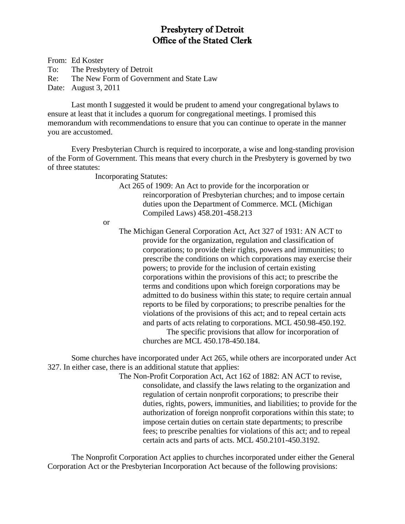# Presbytery of Detroit Office of the Stated Clerk

From: Ed Koster To: The Presbytery of Detroit Re: The New Form of Government and State Law Date: August 3, 2011

Last month I suggested it would be prudent to amend your congregational bylaws to ensure at least that it includes a quorum for congregational meetings. I promised this memorandum with recommendations to ensure that you can continue to operate in the manner you are accustomed.

Every Presbyterian Church is required to incorporate, a wise and long-standing provision of the Form of Government. This means that every church in the Presbytery is governed by two of three statutes:

Incorporating Statutes:

Act 265 of 1909: An Act to provide for the incorporation or reincorporation of Presbyterian churches; and to impose certain duties upon the Department of Commerce. MCL (Michigan Compiled Laws) 458.201-458.213

or

The Michigan General Corporation Act, Act 327 of 1931: AN ACT to provide for the organization, regulation and classification of corporations; to provide their rights, powers and immunities; to prescribe the conditions on which corporations may exercise their powers; to provide for the inclusion of certain existing corporations within the provisions of this act; to prescribe the terms and conditions upon which foreign corporations may be admitted to do business within this state; to require certain annual reports to be filed by corporations; to prescribe penalties for the violations of the provisions of this act; and to repeal certain acts and parts of acts relating to corporations. MCL 450.98-450.192.

The specific provisions that allow for incorporation of churches are MCL 450.178-450.184.

Some churches have incorporated under Act 265, while others are incorporated under Act 327. In either case, there is an additional statute that applies:

> The Non-Profit Corporation Act, Act 162 of 1882: AN ACT to revise, consolidate, and classify the laws relating to the organization and regulation of certain nonprofit corporations; to prescribe their duties, rights, powers, immunities, and liabilities; to provide for the authorization of foreign nonprofit corporations within this state; to impose certain duties on certain state departments; to prescribe fees; to prescribe penalties for violations of this act; and to repeal certain acts and parts of acts. MCL 450.2101-450.3192.

The Nonprofit Corporation Act applies to churches incorporated under either the General Corporation Act or the Presbyterian Incorporation Act because of the following provisions: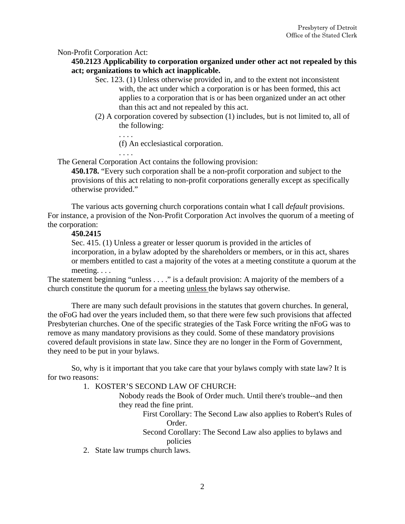# Non-Profit Corporation Act:

# **450.2123 Applicability to corporation organized under other act not repealed by this act; organizations to which act inapplicable.**

- Sec. 123. (1) Unless otherwise provided in, and to the extent not inconsistent with, the act under which a corporation is or has been formed, this act applies to a corporation that is or has been organized under an act other than this act and not repealed by this act.
- (2) A corporation covered by subsection (1) includes, but is not limited to, all of the following:
	- . . . .

(f) An ecclesiastical corporation.

. . . .

The General Corporation Act contains the following provision:

**450.178.** "Every such corporation shall be a non-profit corporation and subject to the provisions of this act relating to non-profit corporations generally except as specifically otherwise provided."

The various acts governing church corporations contain what I call *default* provisions. For instance, a provision of the Non-Profit Corporation Act involves the quorum of a meeting of the corporation:

# **450.2415**

Sec. 415. (1) Unless a greater or lesser quorum is provided in the articles of incorporation, in a bylaw adopted by the shareholders or members, or in this act, shares or members entitled to cast a majority of the votes at a meeting constitute a quorum at the meeting. . . .

The statement beginning "unless . . . ." is a default provision: A majority of the members of a church constitute the quorum for a meeting unless the bylaws say otherwise.

There are many such default provisions in the statutes that govern churches. In general, the oFoG had over the years included them, so that there were few such provisions that affected Presbyterian churches. One of the specific strategies of the Task Force writing the nFoG was to remove as many mandatory provisions as they could. Some of these mandatory provisions covered default provisions in state law. Since they are no longer in the Form of Government, they need to be put in your bylaws.

So, why is it important that you take care that your bylaws comply with state law? It is for two reasons:

1. KOSTER'S SECOND LAW OF CHURCH:

Nobody reads the Book of Order much. Until there's trouble--and then they read the fine print.

> First Corollary: The Second Law also applies to Robert's Rules of Order.

Second Corollary: The Second Law also applies to bylaws and policies

2. State law trumps church laws.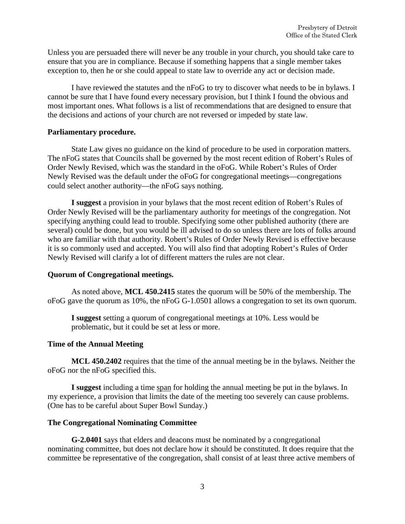Unless you are persuaded there will never be any trouble in your church, you should take care to ensure that you are in compliance. Because if something happens that a single member takes exception to, then he or she could appeal to state law to override any act or decision made.

I have reviewed the statutes and the nFoG to try to discover what needs to be in bylaws. I cannot be sure that I have found every necessary provision, but I think I found the obvious and most important ones. What follows is a list of recommendations that are designed to ensure that the decisions and actions of your church are not reversed or impeded by state law.

# **Parliamentary procedure.**

State Law gives no guidance on the kind of procedure to be used in corporation matters. The nFoG states that Councils shall be governed by the most recent edition of Robert's Rules of Order Newly Revised, which was the standard in the oFoG. While Robert's Rules of Order Newly Revised was the default under the oFoG for congregational meetings—congregations could select another authority—the nFoG says nothing.

**I suggest** a provision in your bylaws that the most recent edition of Robert's Rules of Order Newly Revised will be the parliamentary authority for meetings of the congregation. Not specifying anything could lead to trouble. Specifying some other published authority (there are several) could be done, but you would be ill advised to do so unless there are lots of folks around who are familiar with that authority. Robert's Rules of Order Newly Revised is effective because it is so commonly used and accepted. You will also find that adopting Robert's Rules of Order Newly Revised will clarify a lot of different matters the rules are not clear.

# **Quorum of Congregational meetings.**

As noted above, **MCL 450.2415** states the quorum will be 50% of the membership. The oFoG gave the quorum as 10%, the nFoG G-1.0501 allows a congregation to set its own quorum.

**I suggest** setting a quorum of congregational meetings at 10%. Less would be problematic, but it could be set at less or more.

#### **Time of the Annual Meeting**

**MCL 450.2402** requires that the time of the annual meeting be in the bylaws. Neither the oFoG nor the nFoG specified this.

**I suggest** including a time span for holding the annual meeting be put in the bylaws. In my experience, a provision that limits the date of the meeting too severely can cause problems. (One has to be careful about Super Bowl Sunday.)

#### **The Congregational Nominating Committee**

**G-2.0401** says that elders and deacons must be nominated by a congregational nominating committee, but does not declare how it should be constituted. It does require that the committee be representative of the congregation, shall consist of at least three active members of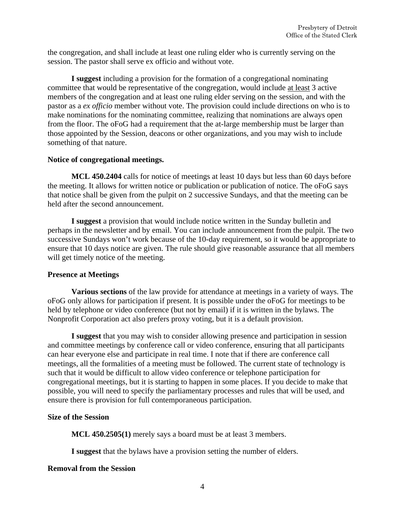the congregation, and shall include at least one ruling elder who is currently serving on the session. The pastor shall serve ex officio and without vote.

**I suggest** including a provision for the formation of a congregational nominating committee that would be representative of the congregation, would include at least 3 active members of the congregation and at least one ruling elder serving on the session, and with the pastor as a *ex officio* member without vote. The provision could include directions on who is to make nominations for the nominating committee, realizing that nominations are always open from the floor. The oFoG had a requirement that the at-large membership must be larger than those appointed by the Session, deacons or other organizations, and you may wish to include something of that nature.

# **Notice of congregational meetings.**

**MCL 450.2404** calls for notice of meetings at least 10 days but less than 60 days before the meeting. It allows for written notice or publication or publication of notice. The oFoG says that notice shall be given from the pulpit on 2 successive Sundays, and that the meeting can be held after the second announcement.

**I suggest** a provision that would include notice written in the Sunday bulletin and perhaps in the newsletter and by email. You can include announcement from the pulpit. The two successive Sundays won't work because of the 10-day requirement, so it would be appropriate to ensure that 10 days notice are given. The rule should give reasonable assurance that all members will get timely notice of the meeting.

# **Presence at Meetings**

**Various sections** of the law provide for attendance at meetings in a variety of ways. The oFoG only allows for participation if present. It is possible under the oFoG for meetings to be held by telephone or video conference (but not by email) if it is written in the bylaws. The Nonprofit Corporation act also prefers proxy voting, but it is a default provision.

**I suggest** that you may wish to consider allowing presence and participation in session and committee meetings by conference call or video conference, ensuring that all participants can hear everyone else and participate in real time. I note that if there are conference call meetings, all the formalities of a meeting must be followed. The current state of technology is such that it would be difficult to allow video conference or telephone participation for congregational meetings, but it is starting to happen in some places. If you decide to make that possible, you will need to specify the parliamentary processes and rules that will be used, and ensure there is provision for full contemporaneous participation.

# **Size of the Session**

**MCL 450.2505(1)** merely says a board must be at least 3 members.

**I suggest** that the bylaws have a provision setting the number of elders.

# **Removal from the Session**